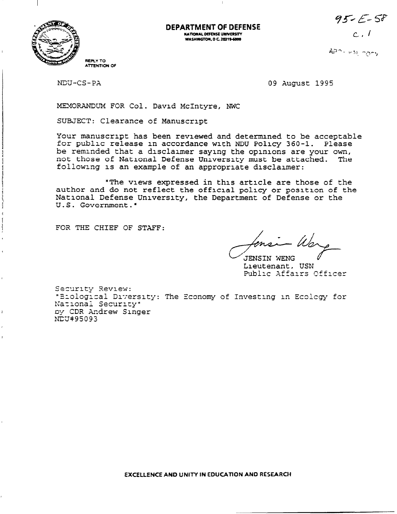$95 - 58$ 



ä

**DEPARTMENT OF DEFENSE** NATIONAL DEFENSE UNIVERSITY **WASHINGTON, D C. 20319-6000** 

 $c$ ,  $l$ 

 $AD - v31$  2007

NDU-CS-PA

09 August 1995

MEMORANDUM FOR Col. David McIntyre, NWC

SUBJECT: Clearance of Manuscript

Your manuscript has been reviewed and determined to be acceptable for public release in accordance with NDU Policy 360-1. Please be reminded that a disclaimer saying the opinions are your own, not those of National Defense University must be attached. The following is an example of an appropriate disclaimer:

"The views expressed in this article are those of the author and do not reflect the official policy or position of the National Defense University, the Department of Defense or the U.S. Government."

FOR THE CHIEF OF STAFF:

JENSIN WENG Lieutenant, USN Public Affairs Officer

Security Review: "Eiological Diversity: The Economy of Investing in Ecology for National Security" by CDR Andrew Singer  $N\bar{L}U$ #95093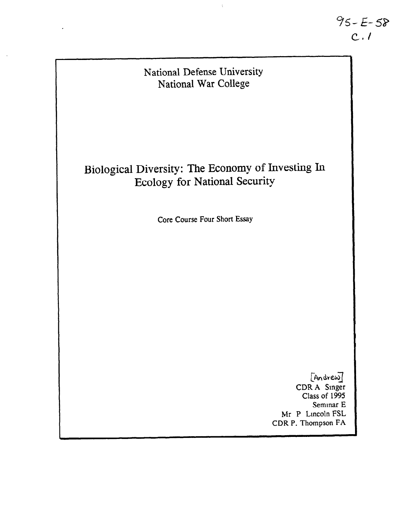

 $\bar{\rm I}$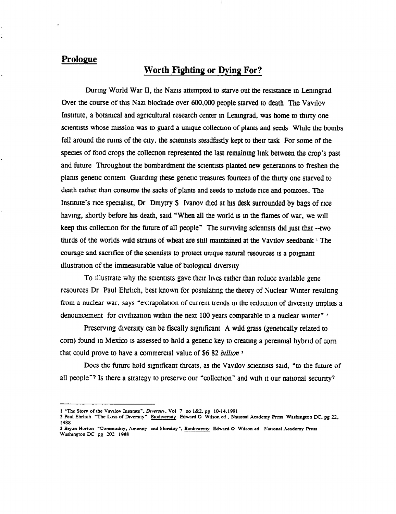# Prologue

# Worth Fighting or Dying For?

During World War II, the Nazis attempted to starve out the resistance in Leningrad Over the course of thts Nazt blockade over 600,000 people starved to death The Vavtlov Institute, a botanical and agricultural research center in Leningrad, was home to thirty one scientists whose mission was to guard a unique collection of plants and seeds While the bombs fell around the rums of the city, the scientists steadfastly kept to their task For some of the species of food crops the collectton represented the last remaining lmk between the crop's past and future Throughout the bombardment the scientists planted new generations to freshen the plants genetic content Guarding these genetic treasures fourteen of the thtrty one starved to death rather than consume the sacks of plants and seeds to mclude rice and potatoes. The Institute's rice specialist, Dr Dmytry S Ivanov died at his desk surrounded by bags of rice having, shortly before his death, said "When all the world is in the flames of war, we will keep this collection for the future of all people" The surviving scientists did just that --two thirds of the worlds wild strains of wheat are still maintained at the Vavilov seedbank <sup>1</sup> The courage and sacrifice of the scientists to protect unique natural resources is a poignant tllustratton of the immeasurable value of btologtcal diversity

To illustrate why the scientists gave their lives rather than reduce available gene resources Dr Paul Ehrlich, best known for postulating the theory of Nuclear Winter resulting from a nuclear war, says "extrapolation of current trends in the reduction of diversity implies a denouncement for civilization within the next 100 years comparable to a nuclear winter"  $\approx$ 

Preserving diversity can be fiscally significant A wild grass (genetically related to corn) found tn Mexico ts assessed fo hold a genetic key fo creating a perennial hybrid of corn that could prove to have a commercial value of \$6 82 billion 3

Does the future hold significant threats, as the Vavilov scientists said. "to the future of all people<sup> $\gamma$ </sup> Is there a strategy to preserve our "collection" and with it our national security?

<sup>1 &#</sup>x27;The Story of the Vavdov Insntute". Dwersm. Vol 7 no l&1. pg 10-14.1991

<sup>2</sup> Paul Ehrlich "The Loss of Diversity" Biodiversity Edward O Wilson ed , National Academy Press Washington DC, pg 22, 1988

<sup>3</sup> Bryan Horton "Commodity, Amenity and Morality", Biodiversity Edward O Wilson ed National Academy Press Washington DC pg 202 1988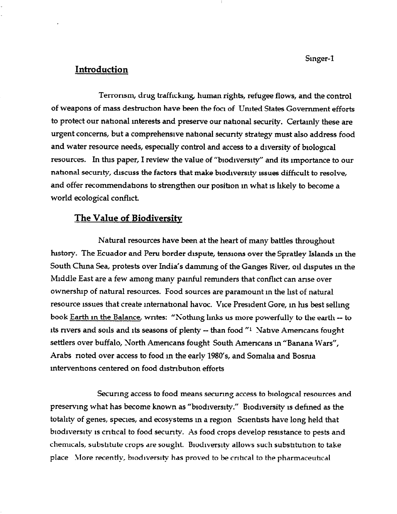## Introduction

Terrorism, drug trafficking, human rights, refugee flows, and the control of weapons of mass destruction have been the foci of United States Government efforts to protect our national interests and preserve our national security. Certainly these are urgent concerns, but a comprehensive national security strategy must also address food and water resource needs, especially control and access to a diversity of biological resources. In this paper, I review the value of "biodiversity" and its importance to our national security, discuss the factors that make biodiversity issues difficult to resolve, and offer recommendations to strengthen our position in what is likely to become a world ecological conflict.

# The Value of Biodiversity

Natural resources have been at the heart of many battles throughout history. The Ecuador and Peru border dispute, tensions over the Spratley Islands in the South China Sea, protests over India's damming of the Ganges River, oil disputes in the Middle East are a few among many painful reminders that conflict can arise over ownership of natural resources. Food sources are paramount in the list of natural resource issues that create international havoc. Vice President Gore, in his best selling book Earth in the Balance, writes: "Nothing links us more powerfully to the earth -- to its rivers and soils and its seasons of plenty -- than food "1 Native Americans fought settlers over buffalo, North Americans fought South Americans in "Banana Wars", Arabs rioted over access to food in the early 1980's, and Somalia and Bosnia interventions centered on food distribution efforts

Securing access to food means securing access to biological resources and preserving what has become known as "biodiversity." Biodiversity is defined as the totality of genes, species, and ecosystems in a region Scientists have long held that biodiversity is critical to food security. As food crops develop resistance to pests and chemicals, substitute crops are sought. Biodiversity allows such substitution to take place More recently, biodiversity has proved to be critical to the pharmaceutical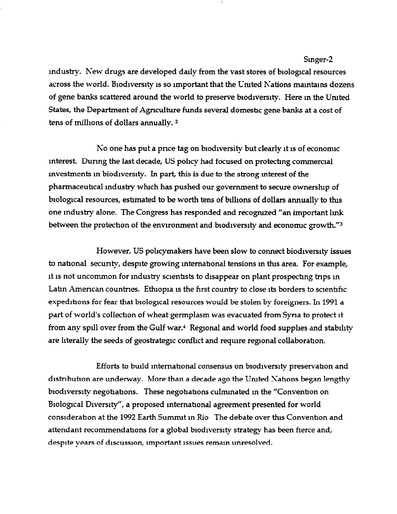industry. New drugs are developed daily from the vast stores of biological resources across the world. Biodiversity is so important that the United Nations maintains dozens of gene banks scattered around the world to preserve biodiversity. Here in the United States, the Department of Agriculture funds several domestic gene banks at a cost of tens of millions of dollars annually.<sup>2</sup>

No one has put a price tag on biodiversity but clearly it is of economic interest. During the last decade, US policy had focused on protecting commercial investments in biodiversity. In part, this is due to the strong interest of the pharmaceutical industry which has pushed our government to secure ownership of biological resources, estimated to be worth tens of billions of dollars annually to this one industry alone. The Congress has responded and recognized "an important link between the protection of the environment and biodiversity and economic growth."3

However, US policymakers have been slow to connect biodiversity issues to national security, despite growing international tensions in this area. For example, it is not uncommon for industry scientists to disappear on plant prospecting trips in Latin American countries. Ethiopia is the first country to close its borders to scientific expeditions for fear that biological resources would be stolen by foreigners. In 1991 a part of world's collection of wheat germplasm was evacuated from Syria to protect it from any spill over from the Gulf war.<sup>4</sup> Regional and world food supplies and stability are literally the seeds of geostrategic conflict and require regional collaboration.

Efforts to build international consensus on biodiversity preservation and distribution are underway. More than a decade ago the United Nations began lengthy biodiversity negotiations. These negotiations culminated in the "Convention on Biological Diversity", a proposed international agreement presented for world consideration at the 1992 Earth Summit in Rio The debate over this Convention and attendant recommendations for a global biodiversity strategy has been fierce and, despite vears of discussion, important issues remain unresolved.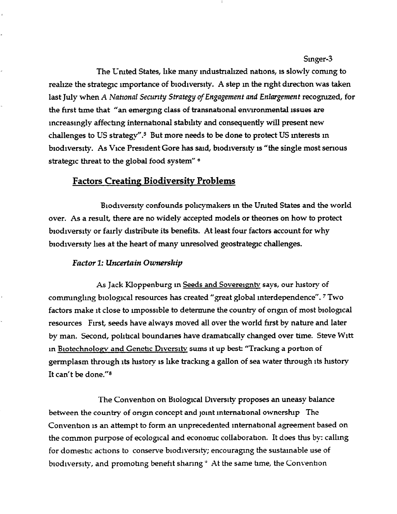The United States, like many industrialized nations, is slowly coming to realize the strategic importance of biodiversity. A step in the right direction was taken last July when A National Security Strategy of Engagement and Enlargement recognized, for the first time that "an emerging class of transnational environmental issues are increasingly affecting international stability and consequently will present new challenges to US strategy".<sup>5</sup> But more needs to be done to protect US interests in biodiversity. As Vice President Gore has said, biodiversity is "the single most serious strategic threat to the global food system" 6

# Factors Creating Biodiversity Problems

Biodrversity confounds policymakers m the Umted States and the world over. As a result, there are no widely accepted models or theones on how to protect biodiversity or fairly distribute its benefits. At least four factors account for why biodiversity lies at the heart of many unresolved geostrategic challenges.

### Factor I: Uncertnin Ownership

As Jack Kloppenburg in Seeds and Sovereignty says, our history of commmglmg biological resources has created "great global interdependence". 7 Two factors make it close to impossible to determine the country of ongm of most biologcal resources First, seeds have always moved all over the world first by nature and later by man. Second, political boundaries have dramatically changed over time. Steve Witt m Brotechnologv and Genetic Diversitv sums it up best: "Tracking a portron of germplasm through its history is like tracking a gallon of sea water through its history It can't be done."<sup>8</sup>

The Convention on Biological Diversity proposes an uneasy balance between the country of origin concept and joint international ownership The Convention is an attempt to form an unprecedented international agreement based on the common purpose of ecological and economic collaboration. It does this by: calling for domestic actions to conserve brodiversity; encouraging the sustainable use of biodiversity, and promoting benefit sharing <sup>o</sup> At the same time, the Convention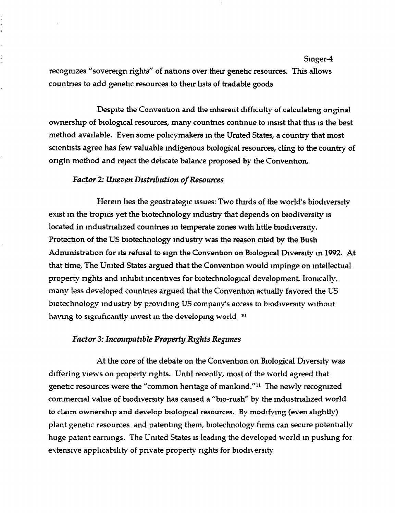recogmzes "sovereign rights" of nations over their genetic resources. This allows countries to add genetic resources to their lists of tradable goods

Despite the Convention and the inherent difficulty of calculating original ownership of biological resources, many countries continue to insist that this is the best method available. Even some pohcymakers m the Umted States, a country that most scientists agree has few valuable indigenous biological resources, cling to the country of origin method and reject the delicate balance proposed by the Convention.

#### Factor 2: Uneven Distribution of Resources

Herem lies the geostrategic issues: Two thirds of the world's biodiversity exist in the tropics yet the biotechnology industry that depends on biodiversity is located in industrialized countries in temperate zones with little biodiversity. Protection of the US biotechnology industry was the reason cited by the Bush Administration for its refusal to sign the Convention on Biological Diversity in 1992. At that time, The Umted States argued that the Convenhon would impinge on mtellectual property rights and inhibit incentives for biotechnological development. Ironically, many less developed countnes argued that the Convenhon actually favored the US biotechnology industry by providing US company's access to biodiversity without having to significantly invest in the developing world  $10$ 

### Factor 3: Incompatible Property Rights Regimes

At the core of the debate on the Convention on Biological Diversity was differing views on property rights. Until recently, most of the world agreed that genetic resources were the "common heritage of mankind."<sup>11</sup> The newly recognized commercial value of biodiversity has caused a "bio-rush" by the industrialized world to claim ownership and develop biological resources. By modifying (even slightly) plant genehc resources and patentmg them, biotechnology firms can secure potenhally huge patent earnings. The United States is leading the developed world in pushing for extensive applicability of private property rights for biodiversity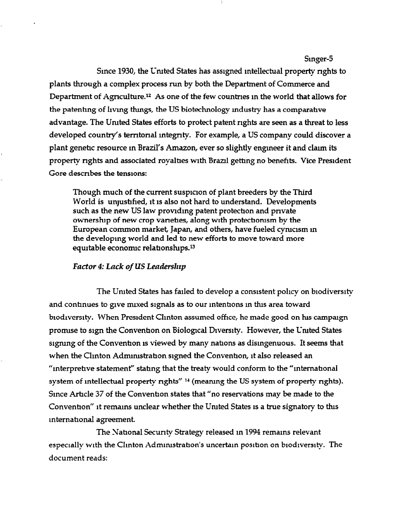Since 1930, the Uruted States has assigned mtellectual property nghts to plants through a complex process run by both the Department of Commerce and Department of Agriculture.<sup>12</sup> As one of the few countries in the world that allows for the patenting of living things, the US biotechnology industry has a comparative advantage. The United States efforts to protect patent rights are seen as a threat to less developed country's territorial integrity. For example, a US company could discover a plant genetic resource in Brazil's Amazon, ever so slightly engineer it and claim its property nghts and associated royalties with Brazil getting no benefits. Vice President Gore describes the tensions:

Though much of the current suspicion of plant breeders by the Third World is unjustified, it is also not hard to understand. Developments such as the new US law providing patent protection and private ownership of new crop varieties, along with protectionism by the European common market, Japan, and others, have fueled cynicism in the developing world and led to new efforts to move toward more equitable economic relationships.<sup>13</sup>

#### Factor 4: Lack of US Leadership

The United States has failed to develop a consistent policy on biodiversity and continues to give mixed signals as to our intentions in this area toward biodiversity. When President Clinton assumed office, he made good on his campaign pronuse to sign the Convention on Biological Diversity. However, the Umted States signing of the Convention is viewed by many nations as disingenuous. It seems that when the Clinton Administration signed the Convention, it also released an "interpretive statement" stating that the treaty would conform to the "international system of intellectual property rights" <sup>14</sup> (meaning the US system of property rights). Smce Artrcle 37 of the Convention states that "no reservations may be made to the Convention" it remains unclear whether the United States is a true signatory to this mternahonal agreement.

The National Security Strategy released in 1994 remains relevant especially with the Clinton Admnustrahon's uncertain posihon on biodiversity. The document reads: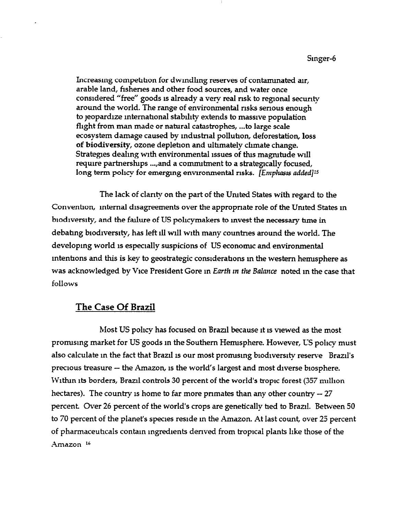Increasing competition for dwindling reserves of contaminated air, arable land, fisheries and other food sources, and water once considered "free" goods is already a very real risk to regional security around the world. The range of environmental risks serious enough to jeopardize international stability extends to massive population flight from man made or natural catastrophes, . ..to large scale ecosystem damage caused by industrial pollution, deforestation, loss of biodiversity, ozone depletion and ultimately climate change. Strategies dealing with environmental issues of this magnitude will require partnerships ..., and a commitment to a strategically focused, long term policy for emerging environmental risks. [Emphasis added]<sup>15</sup>

The lack of clarity on the part of the Umted States with regard to the Convention, internal disagreements over the appropriate role of the United States in biodiversity, and the failure of US policymakers to invest the necessary time in debating biodiversity, has left ill will with many countries around the world. The developing world is especially suspicions of US economic and environmental mtenttons and this is key to geostrategic consrderattons m the western henusphere as was acknowledged by Vice President Gore in Earth in the Balance noted in the case that follows

# The Case Of Brazil

Most US policy has focused on Brazil because it is viewed as the most pronusmg market for US goods m the Southern Hermsphere. However, US pohcy must also calculate in the fact that Brazil is our most promising biodiversity reserve Brazil's precious treasure -- the Amazon, is the world's largest and most diverse biosphere. Within its borders, Brazil controls 30 percent of the world's tropic forest (357 million hectares). The country is home to far more primates than any other country  $-27$ percent. Over 26 percent of the world's crops are genetically hed to Brazil. Between 50 to 70 percent of the planet's species reside m the Amazon. At last count, over 25 percent of pharmaceuticals contain ingredients derived from tropical plants like those of the Amazon<sup>16</sup>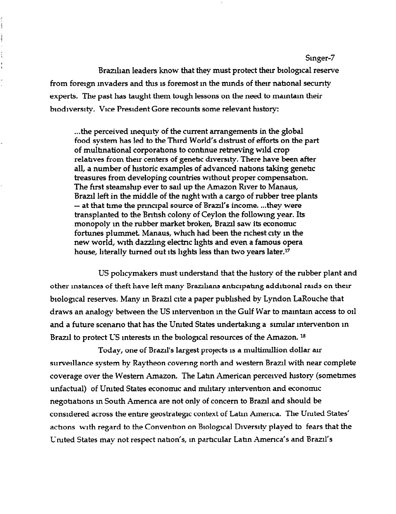Brazilian leaders know that they must protect their biological reserve from foreign invaders and this is foremost in the minds of their national security experts. The past has taught them tough lessons on the need to mamtam their biodiversity. Vice President Gore recounts some relevant history:

į  $1$  with  $1$ 

 $\frac{1}{3}$ 

. ..the perceived mequrty of the current arrangements in the global food system has led to the Third World's distrust of efforts on the part of multmational corporations to contmue retneving wild crop relatives from their centers of genetic diversity. There have been after all, a number of historic examples of advanced nations taking genetic treasures from developing countries without proper compensation. The first steamship ever to sail up the Amazon River to Manaus, Brazil left in the middle of the night with a cargo of rubber tree plants - at that time the principal source of Brazil's income. ...they were transplanted to the Bntrsh colony of Ceylon the followmg year. Its monopoly in the rubber market broken, Brazil saw its economic fortunes plummet. Manaus, which had been the richest city in the new world, with dazzling electric lights and even a famous opera house, hterally turned out its lights less than two years later.17

US pohcymakers must understand that the hstory of the rubber plant and other instances of theft have left many Brazilians anticipating additional raids on their biological reserves. Many in Brazil cite a paper published by Lyndon LaRouche that draws an analogy between the US mtervenhon m the Gulf War to mamtam access to or1 and a future scenario that has the United States undertaking a similar intervention in Brazil to protect US interests in the biological resources of the Amazon.<sup>18</sup>

Today, one of Brazil's largest projects is a multimillion dollar air surveillance system by Raytheon covering north and western Brazil with near complete coverage over the Western Amazon. The Latin American perceived history (sometimes unfactual) of United States economic and military intervention and economic negotiations in South America are not only of concern to Brazil and should be considered across the entrre geostrategc context of Latm America. The Umted States' actions with regard to the Convention on Biological Diversity played to fears that the United States may not respect nation's, in particular Latin America's and Brazil's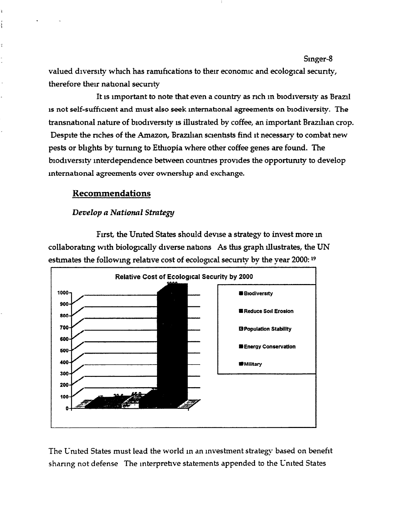valued diversity which has ramifications to their economic and ecological security, therefore their national secunty

It is important to note that even a country as rich in biodiversity as Brazil 1s not self-sufficient and must also seek mtemational agreements on blodiversity. The transnational nature of biodiversity is illustrated by coffee, an important Brazilian crop. Despite the riches of the Amazon, Brazilian scientists find it necessary to combat new pests or blights by turnmg to Etluopia where other coffee genes are found. The biodiversity interdependence between countries provides the opportunity to develop international agreements over ownership and exchange.

## Recommendations

## Develop a National Strategy

First, the Umted States should devise a strategy to invest more m collaborating with biologically diverse nations As this graph illustrates, the UN estimates the following relative cost of ecological security by the year 2000: 19



The United States must lead the world in an investment strategy based on benefit sharing not defense The lnterprehve statements appended to the United States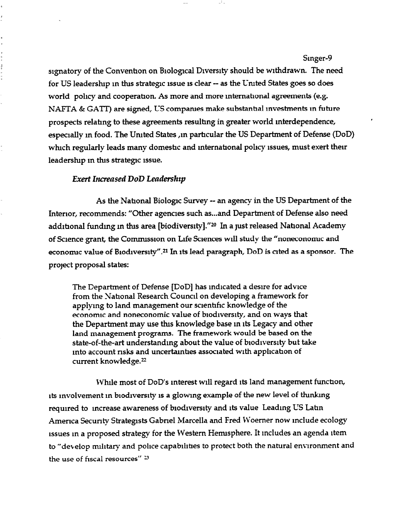signatory of the Convention on Biological Diversity should be withdrawn. The need for US leadership in this strategic issue is clear -- as the United States goes so does world pohcy and cooperation. As more and more mtemational agreements (e.g. NAFTA & GATT) are signed, US companies make substantial investments in future prospects relating to these agreements resulting in greater world mterdependence, especially in food. The United States , in particular the US Department of Defense (DoD) which regularly leads many domestic and international policy issues, must exert their leadership in this strategic issue.

#### Exert Increased DoD Leadership

 $\frac{1}{2}$ 

As the National Biologic Survey -- an agency in the US Department of the Interior, recommends: "Other agencies such as...and Department of Defense also need additional funding in this area [biodiversity]."<sup>20</sup> In a just released National Academy of Science grant, the Commission on Life Sciences will study the "nonecononuc and economic value of Biodiversity".<sup>21</sup> In its lead paragraph,  $DoD$  is cited as a sponsor. The project proposal states:

The Department of Defense [DOD] has indicated a desire for advice from the Nahonal Research Council on developing a framework for applying to land management our scienhhc knowledge of the economic and noneconomic value of biodiversity, and on ways that the Department may use this knowledge base m its Legacy and other land management programs. The framework would be based on the state-of-the-art understanding about the value of biodiversity but take into account risks and uncertainties associated with application of current knowledge.<sup>22</sup>

While most of DOD'S interest will regard its land management function, its mvolvement m biodiversity is a glowing example of the new level of thmkmg required to increase awareness of biodiversity and its value Leading US Latm America Security Strategists Gabriel Marcella and Fred Woerner now include ecology issues m a proposed strategy for the Western Hemisphere. It mcludes an agenda item to "develop military and police capabihhes to protect both the natural environment and the use of fiscal resources"  $33$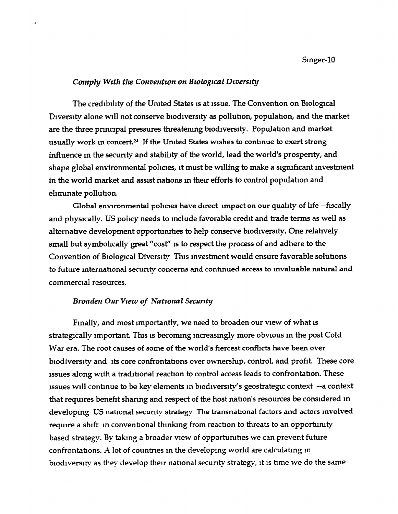#### Comply With the Convention on Biological Diversity

The credibility of the United States is at issue. The Convention on Biological Diversity alone will not conserve biodiversity as pollution, population, and the market are the three principal pressures threatening biodiversity. Population and market usually work in concert.<sup>24</sup> If the United States wishes to continue to exert strong influence in the security and stability of the world, lead the world's prosperity, and shape global environmental policies, it must be willing to make a significant investment in the world market and assist nations in their efforts to control population and eliminate pollution.

Global environmental policies have direct impact on our quality of life --fiscally and physically. US policy needs to include favorable credit and trade terms as well as alternative development opportunities to help conserve biodiversity. One relatively small but symbolically great "cost" is to respect the process of and adhere to the Convention of Biological Diversity This investment would ensure favorable solutions to future international security concerns and continued access to invaluable natural and commercial resources.

#### Broaden Our View of National Security

Finally, and most importantly, we need to broaden our view of what is strategically important. This is becoming increasingly more obvious in the post Cold War era. The root causes of some of the world's fiercest conflicts have been over biodiversity and its core confrontations over ownership, control, and profit. These core issues along with a traditional reaction to control access leads to confrontation. These issues will continue to be key elements in biodiversity's geostrategic context -- a context that requires benefit sharing and respect of the host nation's resources be considered in developing US national security strategy The transnational factors and actors involved require a shift in conventional thinking from reaction to threats to an opportunity based strategy. By taking a broader view of opportunities we can prevent future confrontations. A lot of countries in the developing world are calculating in biodiversity as they develop their national security strategy, it is time we do the same